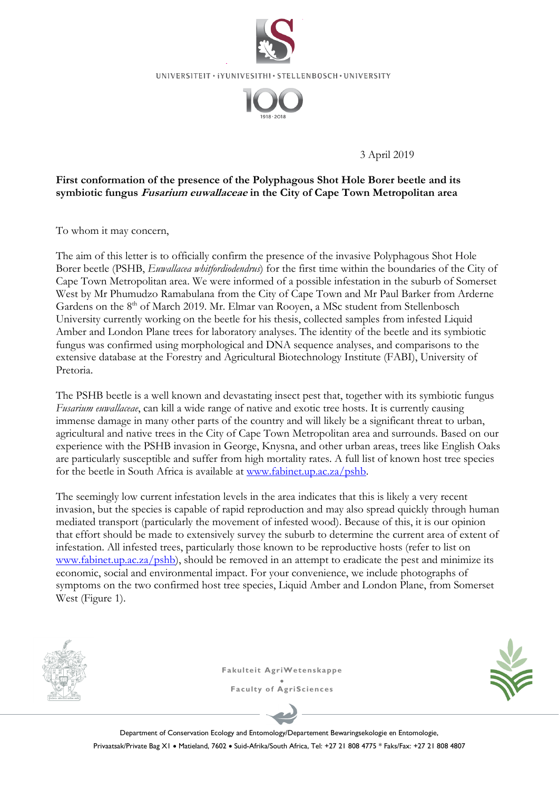

UNIVERSITEIT · iYUNIVESITHI · STELLENBOSCH · UNIVERSITY



3 April 2019

## **First conformation of the presence of the Polyphagous Shot Hole Borer beetle and its symbiotic fungus Fusarium euwallaceae in the City of Cape Town Metropolitan area**

To whom it may concern,

The aim of this letter is to officially confirm the presence of the invasive Polyphagous Shot Hole Borer beetle (PSHB, *Euwallacea whitfordiodendrus*) for the first time within the boundaries of the City of Cape Town Metropolitan area. We were informed of a possible infestation in the suburb of Somerset West by Mr Phumudzo Ramabulana from the City of Cape Town and Mr Paul Barker from Arderne Gardens on the 8<sup>th</sup> of March 2019. Mr. Elmar van Rooyen, a MSc student from Stellenbosch University currently working on the beetle for his thesis, collected samples from infested Liquid Amber and London Plane trees for laboratory analyses. The identity of the beetle and its symbiotic fungus was confirmed using morphological and DNA sequence analyses, and comparisons to the extensive database at the Forestry and Agricultural Biotechnology Institute (FABI), University of Pretoria.

The PSHB beetle is a well known and devastating insect pest that, together with its symbiotic fungus *Fusarium euwallaceae*, can kill a wide range of native and exotic tree hosts. It is currently causing immense damage in many other parts of the country and will likely be a significant threat to urban, agricultural and native trees in the City of Cape Town Metropolitan area and surrounds. Based on our experience with the PSHB invasion in George, Knysna, and other urban areas, trees like English Oaks are particularly susceptible and suffer from high mortality rates. A full list of known host tree species for the beetle in South Africa is available at www.fabinet.up.ac.za/pshb.

The seemingly low current infestation levels in the area indicates that this is likely a very recent invasion, but the species is capable of rapid reproduction and may also spread quickly through human mediated transport (particularly the movement of infested wood). Because of this, it is our opinion that effort should be made to extensively survey the suburb to determine the current area of extent of infestation. All infested trees, particularly those known to be reproductive hosts (refer to list on www.fabinet.up.ac.za/pshb), should be removed in an attempt to eradicate the pest and minimize its economic, social and environmental impact. For your convenience, we include photographs of symptoms on the two confirmed host tree species, Liquid Amber and London Plane, from Somerset West (Figure 1).



**Fakulteit AgriWetenskappe**  $\bullet$ **Faculty of AgriSciences**



Department of Conservation Ecology and Entomology/Departement Bewaringsekologie en Entomologie, Privaatsak/Private Bag XI · Matieland, 7602 · Suid-Afrika/South Africa, Tel: +27 21 808 4775 \* Faks/Fax: +27 21 808 4807